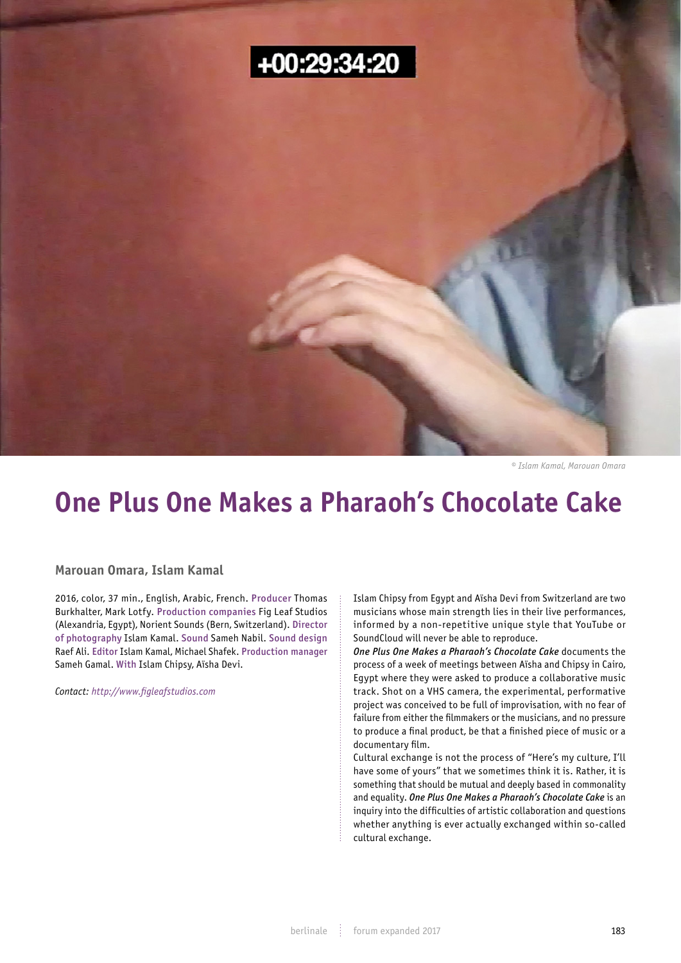

*© Islam Kamal, Marouan Omara*

## **One Plus One Makes a Pharaoh's Chocolate Cake**

**Marouan Omara, Islam Kamal**

2016, color, 37 min., English, Arabic, French. Producer Thomas Burkhalter, Mark Lotfy. Production companies Fig Leaf Studios (Alexandria, Egypt), Norient Sounds (Bern, Switzerland). Director of photography Islam Kamal. Sound Sameh Nabil. Sound design Raef Ali. Editor Islam Kamal, Michael Shafek. Production manager Sameh Gamal. With Islam Chipsy, Aïsha Devi.

*Contact: http://www.figleafstudios.com*

Islam Chipsy from Egypt and Aïsha Devi from Switzerland are two musicians whose main strength lies in their live performances, informed by a non-repetitive unique style that YouTube or SoundCloud will never be able to reproduce.

*One Plus One Makes a Pharaoh's Chocolate Cake* documents the process of a week of meetings between Aïsha and Chipsy in Cairo, Egypt where they were asked to produce a collaborative music track. Shot on a VHS camera, the experimental, performative project was conceived to be full of improvisation, with no fear of failure from either the filmmakers or the musicians, and no pressure to produce a final product, be that a finished piece of music or a documentary film.

Cultural exchange is not the process of "Here's my culture, I'll have some of yours" that we sometimes think it is. Rather, it is something that should be mutual and deeply based in commonality and equality. *One Plus One Makes a Pharaoh's Chocolate Cake* is an inquiry into the difficulties of artistic collaboration and questions whether anything is ever actually exchanged within so-called cultural exchange.